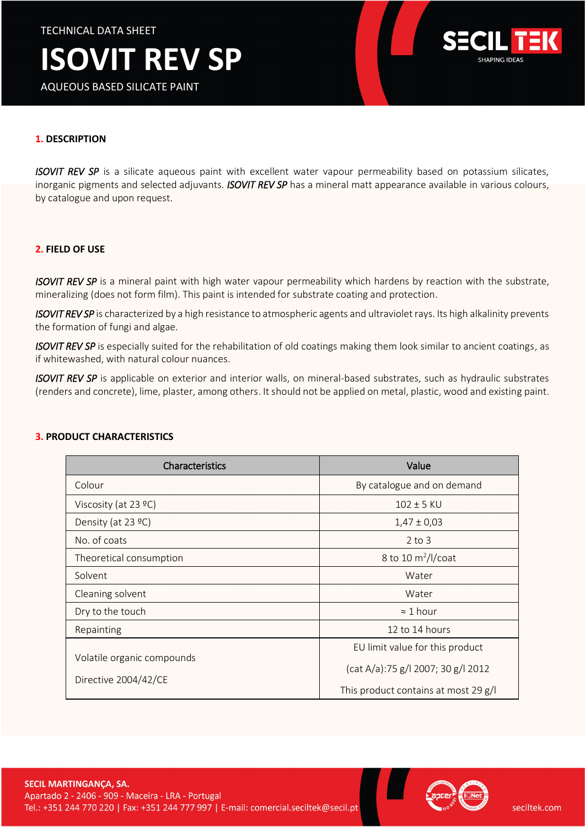# **ISOVIT REV SP**

AQUEOUS BASED SILICATE PAINT



## **1. DESCRIPTION**

*ISOVIT REV SP* is a silicate aqueous paint with excellent water vapour permeability based on potassium silicates, inorganic pigments and selected adjuvants. *ISOVIT REV SP* has a mineral matt appearance available in various colours, by catalogue and upon request.

#### **2. FIELD OF USE**

*ISOVIT REV SP* is a mineral paint with high water vapour permeability which hardens by reaction with the substrate, mineralizing (does not form film). This paint is intended for substrate coating and protection.

*ISOVIT REV SP* is characterized by a high resistance to atmospheric agents and ultraviolet rays. Its high alkalinity prevents the formation of fungi and algae.

*ISOVIT REV SP* is especially suited for the rehabilitation of old coatings making them look similar to ancient coatings, as if whitewashed, with natural colour nuances.

*ISOVIT REV SP* is applicable on exterior and interior walls, on mineral-based substrates, such as hydraulic substrates (renders and concrete), lime, plaster, among others. It should not be applied on metal, plastic, wood and existing paint.

| <b>Characteristics</b>                             | Value                                |
|----------------------------------------------------|--------------------------------------|
| Colour                                             | By catalogue and on demand           |
| Viscosity (at $23$ °C)                             | $102 \pm 5$ KU                       |
| Density (at 23 °C)                                 | $1,47 \pm 0,03$                      |
| No. of coats                                       | $2$ to $3$                           |
| Theoretical consumption                            | 8 to 10 $\text{m}^2$ /l/coat         |
| Solvent                                            | Water                                |
| Cleaning solvent                                   | Water                                |
| Dry to the touch                                   | $\approx$ 1 hour                     |
| Repainting                                         | 12 to 14 hours                       |
| Volatile organic compounds<br>Directive 2004/42/CE | EU limit value for this product      |
|                                                    | (cat A/a):75 g/l 2007; 30 g/l 2012   |
|                                                    | This product contains at most 29 g/l |

#### **3. PRODUCT CHARACTERISTICS**

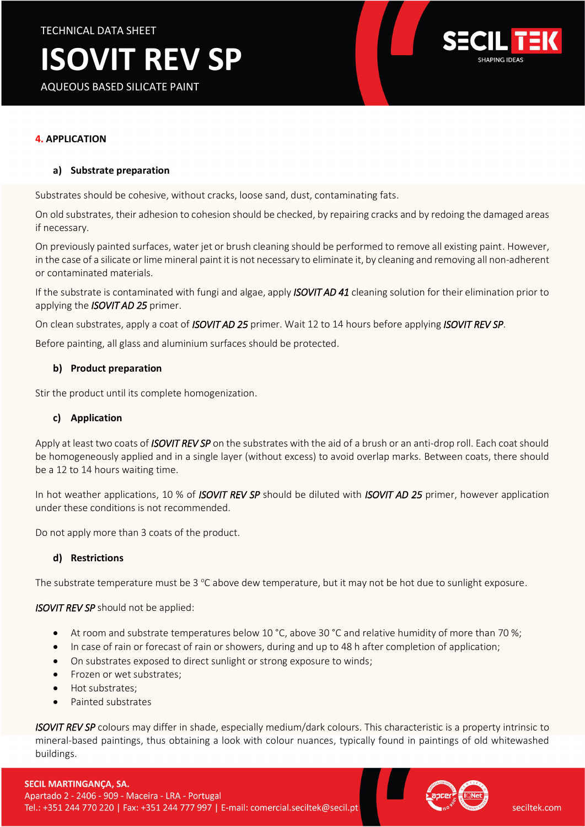# **ISOVIT REV SP**

AQUEOUS BASED SILICATE PAINT



# **4. APPLICATION**

## **a) Substrate preparation**

Substrates should be cohesive, without cracks, loose sand, dust, contaminating fats.

On old substrates, their adhesion to cohesion should be checked, by repairing cracks and by redoing the damaged areas if necessary.

On previously painted surfaces, water jet or brush cleaning should be performed to remove all existing paint. However, in the case of a silicate or lime mineral paint it is not necessary to eliminate it, by cleaning and removing all non-adherent or contaminated materials.

If the substrate is contaminated with fungi and algae, apply *ISOVIT AD 41* cleaning solution for their elimination prior to applying the *ISOVIT AD 25* primer.

On clean substrates, apply a coat of *ISOVIT AD 25* primer. Wait 12 to 14 hours before applying *ISOVIT REV SP*.

Before painting, all glass and aluminium surfaces should be protected.

## **b) Product preparation**

Stir the product until its complete homogenization.

#### **c) Application**

Apply at least two coats of *ISOVIT REV SP* on the substrates with the aid of a brush or an anti-drop roll. Each coat should be homogeneously applied and in a single layer (without excess) to avoid overlap marks. Between coats, there should be a 12 to 14 hours waiting time.

In hot weather applications, 10 % of *ISOVIT REV SP* should be diluted with *ISOVIT AD 25* primer, however application under these conditions is not recommended.

Do not apply more than 3 coats of the product.

#### **d) Restrictions**

The substrate temperature must be 3  $\degree$ C above dew temperature, but it may not be hot due to sunlight exposure.

#### *ISOVIT REV SP* should not be applied:

- At room and substrate temperatures below 10 °C, above 30 °C and relative humidity of more than 70 %;
- In case of rain or forecast of rain or showers, during and up to 48 h after completion of application;
- On substrates exposed to direct sunlight or strong exposure to winds;
- Frozen or wet substrates:
- Hot substrates:
- Painted substrates

*ISOVIT REV SP* colours may differ in shade, especially medium/dark colours. This characteristic is a property intrinsic to mineral-based paintings, thus obtaining a look with colour nuances, typically found in paintings of old whitewashed buildings.